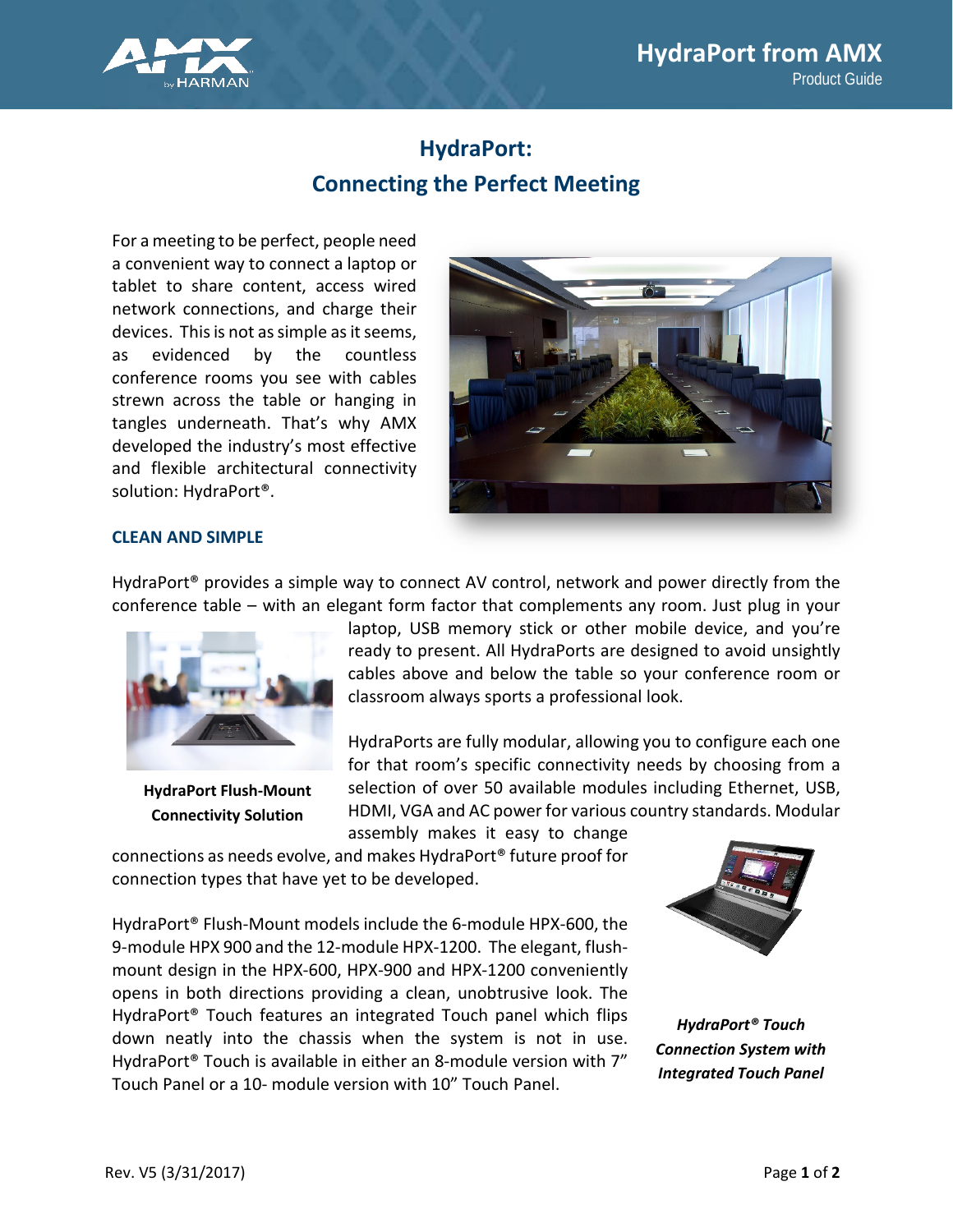

# **HydraPort: Connecting the Perfect Meeting**

For a meeting to be perfect, people need a convenient way to connect a laptop or tablet to share content, access wired network connections, and charge their devices. This is not as simple as it seems, as evidenced by the countless conference rooms you see with cables strewn across the table or hanging in tangles underneath. That's why AMX developed the industry's most effective and flexible architectural connectivity solution: HydraPort®.



# **CLEAN AND SIMPLE**

HydraPort® provides a simple way to connect AV control, network and power directly from the conference table – with an elegant form factor that complements any room. Just plug in your



**HydraPort Flush-Mount Connectivity Solution**

laptop, USB memory stick or other mobile device, and you're ready to present. All HydraPorts are designed to avoid unsightly cables above and below the table so your conference room or classroom always sports a professional look.

HydraPorts are fully modular, allowing you to configure each one for that room's specific connectivity needs by choosing from a selection of over 50 available modules including Ethernet, USB, HDMI, VGA and AC power for various country standards. Modular assembly makes it easy to change

connections as needs evolve, and makes HydraPort® future proof for connection types that have yet to be developed.

HydraPort® Flush-Mount models include the 6-module HPX-600, the 9-module HPX 900 and the 12-module HPX-1200. The elegant, flushmount design in the HPX-600, HPX-900 and HPX-1200 conveniently opens in both directions providing a clean, unobtrusive look. The HydraPort® Touch features an integrated Touch panel which flips down neatly into the chassis when the system is not in use. HydraPort® Touch is available in either an 8-module version with 7" Touch Panel or a 10- module version with 10" Touch Panel.



*HydraPort® Touch Connection System with Integrated Touch Panel*